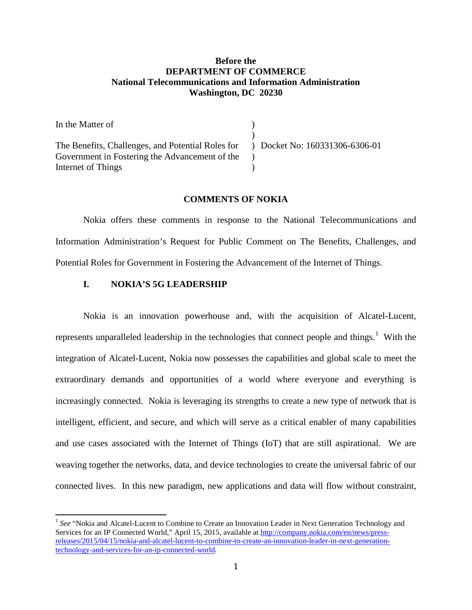## **Before the DEPARTMENT OF COMMERCE National Telecommunications and Information Administration Washington, DC 20230**

| In the Matter of                                                                 |  |
|----------------------------------------------------------------------------------|--|
|                                                                                  |  |
| The Benefits, Challenges, and Potential Roles for ) Docket No: 160331306-6306-01 |  |
| Government in Fostering the Advancement of the                                   |  |
| Internet of Things                                                               |  |

## **COMMENTS OF NOKIA**

Nokia offers these comments in response to the National Telecommunications and Information Administration's Request for Public Comment on The Benefits, Challenges, and Potential Roles for Government in Fostering the Advancement of the Internet of Things.

## **I. NOKIA'S 5G LEADERSHIP**

Nokia is an innovation powerhouse and, with the acquisition of Alcatel-Lucent, represents unparalleled leadership in the technologies that connect people and things.<sup>[1](#page-0-0)</sup> With the integration of Alcatel-Lucent, Nokia now possesses the capabilities and global scale to meet the extraordinary demands and opportunities of a world where everyone and everything is increasingly connected. Nokia is leveraging its strengths to create a new type of network that is intelligent, efficient, and secure, and which will serve as a critical enabler of many capabilities and use cases associated with the Internet of Things (IoT) that are still aspirational. We are weaving together the networks, data, and device technologies to create the universal fabric of our connected lives. In this new paradigm, new applications and data will flow without constraint,

<span id="page-0-0"></span><sup>&</sup>lt;sup>1</sup> See "Nokia and Alcatel-Lucent to Combine to Create an Innovation Leader in Next Generation Technology and Services for an IP Connected World," April 15, 2015, available at [http://company.nokia.com/en/news/press](http://company.nokia.com/en/news/press-releases/2015/04/15/nokia-and-alcatel-lucent-to-combine-to-create-an-innovation-leader-in-next-generation-technology-and-services-for-an-ip-connected-world)[releases/2015/04/15/nokia-and-alcatel-lucent-to-combine-to-create-an-innovation-leader-in-next-generation](http://company.nokia.com/en/news/press-releases/2015/04/15/nokia-and-alcatel-lucent-to-combine-to-create-an-innovation-leader-in-next-generation-technology-and-services-for-an-ip-connected-world)[technology-and-services-for-an-ip-connected-world](http://company.nokia.com/en/news/press-releases/2015/04/15/nokia-and-alcatel-lucent-to-combine-to-create-an-innovation-leader-in-next-generation-technology-and-services-for-an-ip-connected-world).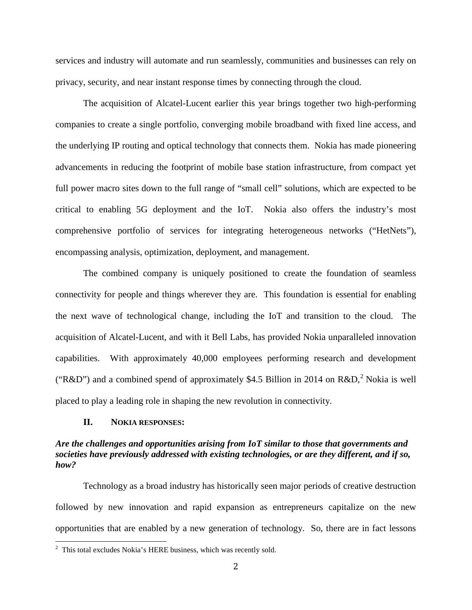services and industry will automate and run seamlessly, communities and businesses can rely on privacy, security, and near instant response times by connecting through the cloud.

The acquisition of Alcatel-Lucent earlier this year brings together two high-performing companies to create a single portfolio, converging mobile broadband with fixed line access, and the underlying IP routing and optical technology that connects them. Nokia has made pioneering advancements in reducing the footprint of mobile base station infrastructure, from compact yet full power macro sites down to the full range of "small cell" solutions, which are expected to be critical to enabling 5G deployment and the IoT. Nokia also offers the industry's most comprehensive portfolio of services for integrating heterogeneous networks ("HetNets"), encompassing analysis, optimization, deployment, and management.

The combined company is uniquely positioned to create the foundation of seamless connectivity for people and things wherever they are. This foundation is essential for enabling the next wave of technological change, including the IoT and transition to the cloud. The acquisition of Alcatel-Lucent, and with it Bell Labs, has provided Nokia unparalleled innovation capabilities. With approximately 40,000 employees performing research and development ("R&D") and a combined spend of approximately \$4.5 Billion in [2](#page-1-0)014 on R&D,<sup>2</sup> Nokia is well placed to play a leading role in shaping the new revolution in connectivity.

## **II. NOKIA RESPONSES:**

## *Are the challenges and opportunities arising from IoT similar to those that governments and societies have previously addressed with existing technologies, or are they different, and if so, how?*

Technology as a broad industry has historically seen major periods of creative destruction followed by new innovation and rapid expansion as entrepreneurs capitalize on the new opportunities that are enabled by a new generation of technology. So, there are in fact lessons

<span id="page-1-0"></span><sup>&</sup>lt;sup>2</sup> This total excludes Nokia's HERE business, which was recently sold.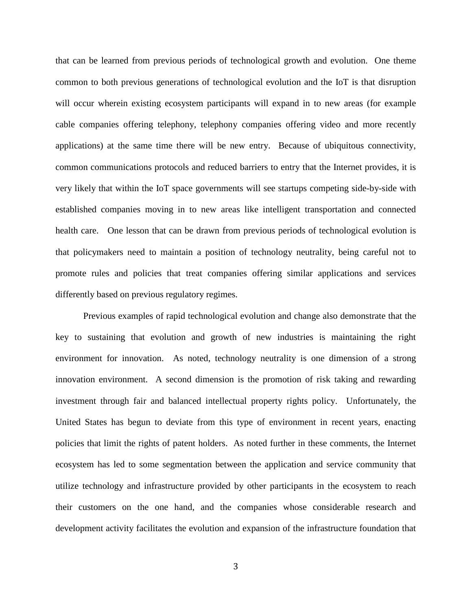that can be learned from previous periods of technological growth and evolution. One theme common to both previous generations of technological evolution and the IoT is that disruption will occur wherein existing ecosystem participants will expand in to new areas (for example cable companies offering telephony, telephony companies offering video and more recently applications) at the same time there will be new entry. Because of ubiquitous connectivity, common communications protocols and reduced barriers to entry that the Internet provides, it is very likely that within the IoT space governments will see startups competing side-by-side with established companies moving in to new areas like intelligent transportation and connected health care. One lesson that can be drawn from previous periods of technological evolution is that policymakers need to maintain a position of technology neutrality, being careful not to promote rules and policies that treat companies offering similar applications and services differently based on previous regulatory regimes.

Previous examples of rapid technological evolution and change also demonstrate that the key to sustaining that evolution and growth of new industries is maintaining the right environment for innovation. As noted, technology neutrality is one dimension of a strong innovation environment. A second dimension is the promotion of risk taking and rewarding investment through fair and balanced intellectual property rights policy. Unfortunately, the United States has begun to deviate from this type of environment in recent years, enacting policies that limit the rights of patent holders. As noted further in these comments, the Internet ecosystem has led to some segmentation between the application and service community that utilize technology and infrastructure provided by other participants in the ecosystem to reach their customers on the one hand, and the companies whose considerable research and development activity facilitates the evolution and expansion of the infrastructure foundation that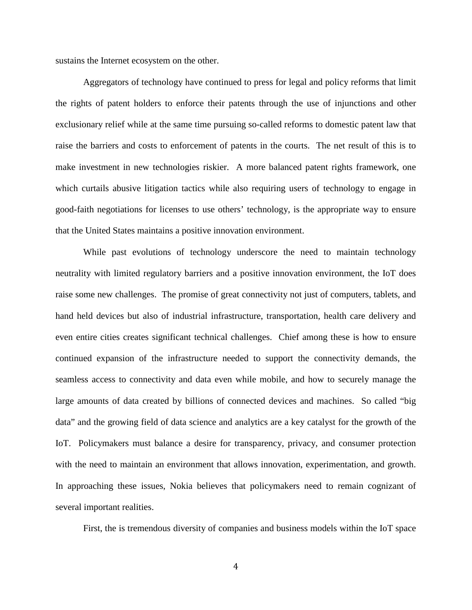sustains the Internet ecosystem on the other.

Aggregators of technology have continued to press for legal and policy reforms that limit the rights of patent holders to enforce their patents through the use of injunctions and other exclusionary relief while at the same time pursuing so-called reforms to domestic patent law that raise the barriers and costs to enforcement of patents in the courts. The net result of this is to make investment in new technologies riskier. A more balanced patent rights framework, one which curtails abusive litigation tactics while also requiring users of technology to engage in good-faith negotiations for licenses to use others' technology, is the appropriate way to ensure that the United States maintains a positive innovation environment.

While past evolutions of technology underscore the need to maintain technology neutrality with limited regulatory barriers and a positive innovation environment, the IoT does raise some new challenges. The promise of great connectivity not just of computers, tablets, and hand held devices but also of industrial infrastructure, transportation, health care delivery and even entire cities creates significant technical challenges. Chief among these is how to ensure continued expansion of the infrastructure needed to support the connectivity demands, the seamless access to connectivity and data even while mobile, and how to securely manage the large amounts of data created by billions of connected devices and machines. So called "big data" and the growing field of data science and analytics are a key catalyst for the growth of the IoT. Policymakers must balance a desire for transparency, privacy, and consumer protection with the need to maintain an environment that allows innovation, experimentation, and growth. In approaching these issues, Nokia believes that policymakers need to remain cognizant of several important realities.

First, the is tremendous diversity of companies and business models within the IoT space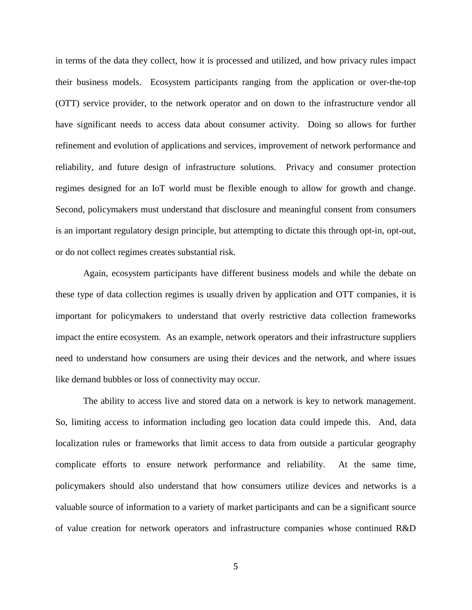in terms of the data they collect, how it is processed and utilized, and how privacy rules impact their business models. Ecosystem participants ranging from the application or over-the-top (OTT) service provider, to the network operator and on down to the infrastructure vendor all have significant needs to access data about consumer activity. Doing so allows for further refinement and evolution of applications and services, improvement of network performance and reliability, and future design of infrastructure solutions. Privacy and consumer protection regimes designed for an IoT world must be flexible enough to allow for growth and change. Second, policymakers must understand that disclosure and meaningful consent from consumers is an important regulatory design principle, but attempting to dictate this through opt-in, opt-out, or do not collect regimes creates substantial risk.

Again, ecosystem participants have different business models and while the debate on these type of data collection regimes is usually driven by application and OTT companies, it is important for policymakers to understand that overly restrictive data collection frameworks impact the entire ecosystem. As an example, network operators and their infrastructure suppliers need to understand how consumers are using their devices and the network, and where issues like demand bubbles or loss of connectivity may occur.

The ability to access live and stored data on a network is key to network management. So, limiting access to information including geo location data could impede this. And, data localization rules or frameworks that limit access to data from outside a particular geography complicate efforts to ensure network performance and reliability. At the same time, policymakers should also understand that how consumers utilize devices and networks is a valuable source of information to a variety of market participants and can be a significant source of value creation for network operators and infrastructure companies whose continued R&D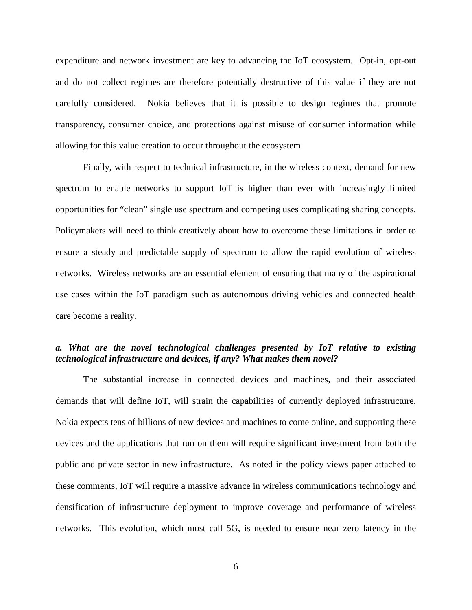expenditure and network investment are key to advancing the IoT ecosystem. Opt-in, opt-out and do not collect regimes are therefore potentially destructive of this value if they are not carefully considered. Nokia believes that it is possible to design regimes that promote transparency, consumer choice, and protections against misuse of consumer information while allowing for this value creation to occur throughout the ecosystem.

Finally, with respect to technical infrastructure, in the wireless context, demand for new spectrum to enable networks to support IoT is higher than ever with increasingly limited opportunities for "clean" single use spectrum and competing uses complicating sharing concepts. Policymakers will need to think creatively about how to overcome these limitations in order to ensure a steady and predictable supply of spectrum to allow the rapid evolution of wireless networks. Wireless networks are an essential element of ensuring that many of the aspirational use cases within the IoT paradigm such as autonomous driving vehicles and connected health care become a reality.

## *a. What are the novel technological challenges presented by IoT relative to existing technological infrastructure and devices, if any? What makes them novel?*

The substantial increase in connected devices and machines, and their associated demands that will define IoT, will strain the capabilities of currently deployed infrastructure. Nokia expects tens of billions of new devices and machines to come online, and supporting these devices and the applications that run on them will require significant investment from both the public and private sector in new infrastructure. As noted in the policy views paper attached to these comments, IoT will require a massive advance in wireless communications technology and densification of infrastructure deployment to improve coverage and performance of wireless networks. This evolution, which most call 5G, is needed to ensure near zero latency in the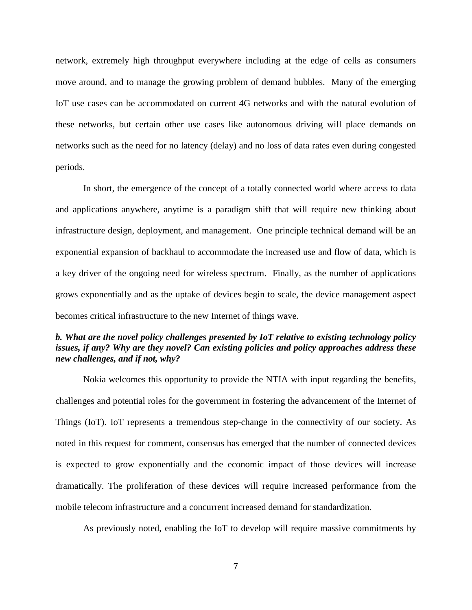network, extremely high throughput everywhere including at the edge of cells as consumers move around, and to manage the growing problem of demand bubbles. Many of the emerging IoT use cases can be accommodated on current 4G networks and with the natural evolution of these networks, but certain other use cases like autonomous driving will place demands on networks such as the need for no latency (delay) and no loss of data rates even during congested periods.

In short, the emergence of the concept of a totally connected world where access to data and applications anywhere, anytime is a paradigm shift that will require new thinking about infrastructure design, deployment, and management. One principle technical demand will be an exponential expansion of backhaul to accommodate the increased use and flow of data, which is a key driver of the ongoing need for wireless spectrum. Finally, as the number of applications grows exponentially and as the uptake of devices begin to scale, the device management aspect becomes critical infrastructure to the new Internet of things wave.

# *b. What are the novel policy challenges presented by IoT relative to existing technology policy issues, if any? Why are they novel? Can existing policies and policy approaches address these new challenges, and if not, why?*

Nokia welcomes this opportunity to provide the NTIA with input regarding the benefits, challenges and potential roles for the government in fostering the advancement of the Internet of Things (IoT). IoT represents a tremendous step-change in the connectivity of our society. As noted in this request for comment, consensus has emerged that the number of connected devices is expected to grow exponentially and the economic impact of those devices will increase dramatically. The proliferation of these devices will require increased performance from the mobile telecom infrastructure and a concurrent increased demand for standardization.

As previously noted, enabling the IoT to develop will require massive commitments by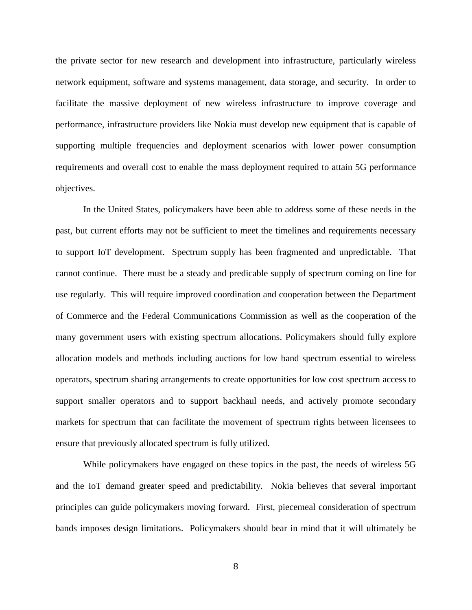the private sector for new research and development into infrastructure, particularly wireless network equipment, software and systems management, data storage, and security. In order to facilitate the massive deployment of new wireless infrastructure to improve coverage and performance, infrastructure providers like Nokia must develop new equipment that is capable of supporting multiple frequencies and deployment scenarios with lower power consumption requirements and overall cost to enable the mass deployment required to attain 5G performance objectives.

In the United States, policymakers have been able to address some of these needs in the past, but current efforts may not be sufficient to meet the timelines and requirements necessary to support IoT development. Spectrum supply has been fragmented and unpredictable. That cannot continue. There must be a steady and predicable supply of spectrum coming on line for use regularly. This will require improved coordination and cooperation between the Department of Commerce and the Federal Communications Commission as well as the cooperation of the many government users with existing spectrum allocations. Policymakers should fully explore allocation models and methods including auctions for low band spectrum essential to wireless operators, spectrum sharing arrangements to create opportunities for low cost spectrum access to support smaller operators and to support backhaul needs, and actively promote secondary markets for spectrum that can facilitate the movement of spectrum rights between licensees to ensure that previously allocated spectrum is fully utilized.

While policymakers have engaged on these topics in the past, the needs of wireless 5G and the IoT demand greater speed and predictability. Nokia believes that several important principles can guide policymakers moving forward. First, piecemeal consideration of spectrum bands imposes design limitations. Policymakers should bear in mind that it will ultimately be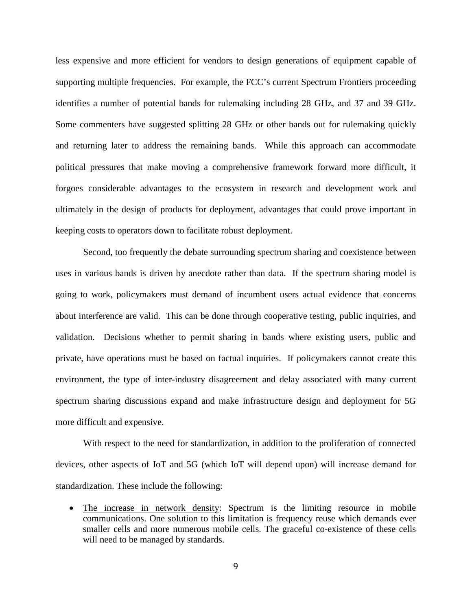less expensive and more efficient for vendors to design generations of equipment capable of supporting multiple frequencies. For example, the FCC's current Spectrum Frontiers proceeding identifies a number of potential bands for rulemaking including 28 GHz, and 37 and 39 GHz. Some commenters have suggested splitting 28 GHz or other bands out for rulemaking quickly and returning later to address the remaining bands. While this approach can accommodate political pressures that make moving a comprehensive framework forward more difficult, it forgoes considerable advantages to the ecosystem in research and development work and ultimately in the design of products for deployment, advantages that could prove important in keeping costs to operators down to facilitate robust deployment.

Second, too frequently the debate surrounding spectrum sharing and coexistence between uses in various bands is driven by anecdote rather than data. If the spectrum sharing model is going to work, policymakers must demand of incumbent users actual evidence that concerns about interference are valid. This can be done through cooperative testing, public inquiries, and validation. Decisions whether to permit sharing in bands where existing users, public and private, have operations must be based on factual inquiries. If policymakers cannot create this environment, the type of inter-industry disagreement and delay associated with many current spectrum sharing discussions expand and make infrastructure design and deployment for 5G more difficult and expensive.

With respect to the need for standardization, in addition to the proliferation of connected devices, other aspects of IoT and 5G (which IoT will depend upon) will increase demand for standardization. These include the following:

• The increase in network density: Spectrum is the limiting resource in mobile communications. One solution to this limitation is frequency reuse which demands ever smaller cells and more numerous mobile cells. The graceful co-existence of these cells will need to be managed by standards.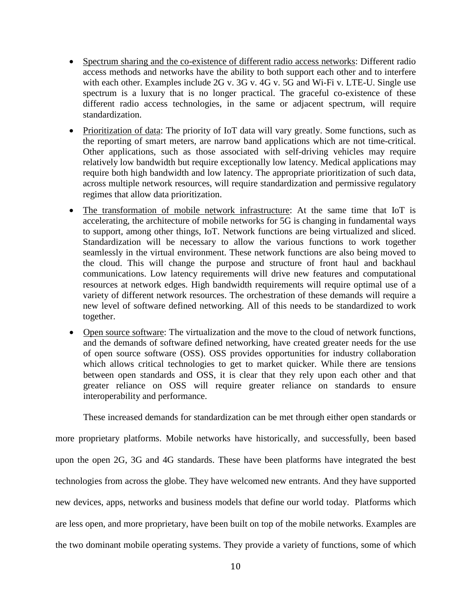- Spectrum sharing and the co-existence of different radio access networks: Different radio access methods and networks have the ability to both support each other and to interfere with each other. Examples include 2G v. 3G v. 4G v. 5G and Wi-Fi v. LTE-U. Single use spectrum is a luxury that is no longer practical. The graceful co-existence of these different radio access technologies, in the same or adjacent spectrum, will require standardization.
- Prioritization of data: The priority of IoT data will vary greatly. Some functions, such as the reporting of smart meters, are narrow band applications which are not time-critical. Other applications, such as those associated with self-driving vehicles may require relatively low bandwidth but require exceptionally low latency. Medical applications may require both high bandwidth and low latency. The appropriate prioritization of such data, across multiple network resources, will require standardization and permissive regulatory regimes that allow data prioritization.
- The transformation of mobile network infrastructure: At the same time that IoT is accelerating, the architecture of mobile networks for 5G is changing in fundamental ways to support, among other things, IoT. Network functions are being virtualized and sliced. Standardization will be necessary to allow the various functions to work together seamlessly in the virtual environment. These network functions are also being moved to the cloud. This will change the purpose and structure of front haul and backhaul communications. Low latency requirements will drive new features and computational resources at network edges. High bandwidth requirements will require optimal use of a variety of different network resources. The orchestration of these demands will require a new level of software defined networking. All of this needs to be standardized to work together.
- Open source software: The virtualization and the move to the cloud of network functions, and the demands of software defined networking, have created greater needs for the use of open source software (OSS). OSS provides opportunities for industry collaboration which allows critical technologies to get to market quicker. While there are tensions between open standards and OSS, it is clear that they rely upon each other and that greater reliance on OSS will require greater reliance on standards to ensure interoperability and performance.

These increased demands for standardization can be met through either open standards or

more proprietary platforms. Mobile networks have historically, and successfully, been based upon the open 2G, 3G and 4G standards. These have been platforms have integrated the best technologies from across the globe. They have welcomed new entrants. And they have supported new devices, apps, networks and business models that define our world today. Platforms which are less open, and more proprietary, have been built on top of the mobile networks. Examples are the two dominant mobile operating systems. They provide a variety of functions, some of which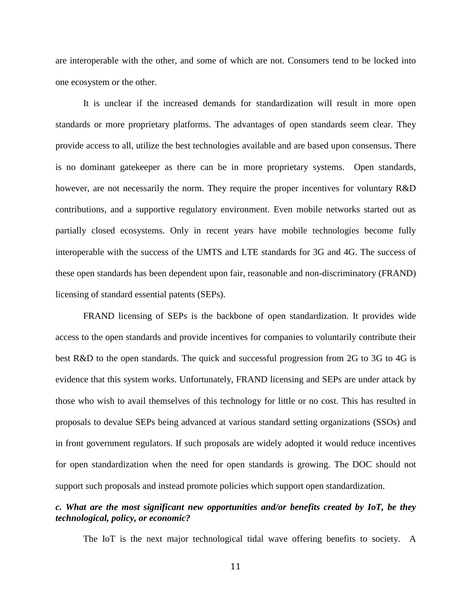are interoperable with the other, and some of which are not. Consumers tend to be locked into one ecosystem or the other.

It is unclear if the increased demands for standardization will result in more open standards or more proprietary platforms. The advantages of open standards seem clear. They provide access to all, utilize the best technologies available and are based upon consensus. There is no dominant gatekeeper as there can be in more proprietary systems. Open standards, however, are not necessarily the norm. They require the proper incentives for voluntary R&D contributions, and a supportive regulatory environment. Even mobile networks started out as partially closed ecosystems. Only in recent years have mobile technologies become fully interoperable with the success of the UMTS and LTE standards for 3G and 4G. The success of these open standards has been dependent upon fair, reasonable and non-discriminatory (FRAND) licensing of standard essential patents (SEPs).

FRAND licensing of SEPs is the backbone of open standardization. It provides wide access to the open standards and provide incentives for companies to voluntarily contribute their best R&D to the open standards. The quick and successful progression from 2G to 3G to 4G is evidence that this system works. Unfortunately, FRAND licensing and SEPs are under attack by those who wish to avail themselves of this technology for little or no cost. This has resulted in proposals to devalue SEPs being advanced at various standard setting organizations (SSOs) and in front government regulators. If such proposals are widely adopted it would reduce incentives for open standardization when the need for open standards is growing. The DOC should not support such proposals and instead promote policies which support open standardization.

# *c. What are the most significant new opportunities and/or benefits created by IoT, be they technological, policy, or economic?*

The IoT is the next major technological tidal wave offering benefits to society. A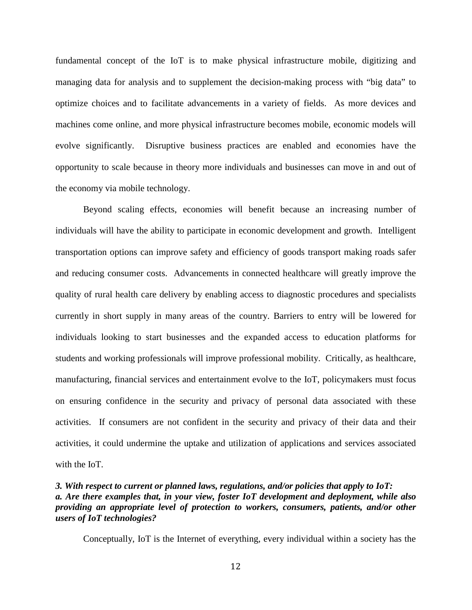fundamental concept of the IoT is to make physical infrastructure mobile, digitizing and managing data for analysis and to supplement the decision-making process with "big data" to optimize choices and to facilitate advancements in a variety of fields. As more devices and machines come online, and more physical infrastructure becomes mobile, economic models will evolve significantly. Disruptive business practices are enabled and economies have the opportunity to scale because in theory more individuals and businesses can move in and out of the economy via mobile technology.

Beyond scaling effects, economies will benefit because an increasing number of individuals will have the ability to participate in economic development and growth. Intelligent transportation options can improve safety and efficiency of goods transport making roads safer and reducing consumer costs. Advancements in connected healthcare will greatly improve the quality of rural health care delivery by enabling access to diagnostic procedures and specialists currently in short supply in many areas of the country. Barriers to entry will be lowered for individuals looking to start businesses and the expanded access to education platforms for students and working professionals will improve professional mobility. Critically, as healthcare, manufacturing, financial services and entertainment evolve to the IoT, policymakers must focus on ensuring confidence in the security and privacy of personal data associated with these activities. If consumers are not confident in the security and privacy of their data and their activities, it could undermine the uptake and utilization of applications and services associated with the IoT.

## *3. With respect to current or planned laws, regulations, and/or policies that apply to IoT: a. Are there examples that, in your view, foster IoT development and deployment, while also providing an appropriate level of protection to workers, consumers, patients, and/or other users of IoT technologies?*

Conceptually, IoT is the Internet of everything, every individual within a society has the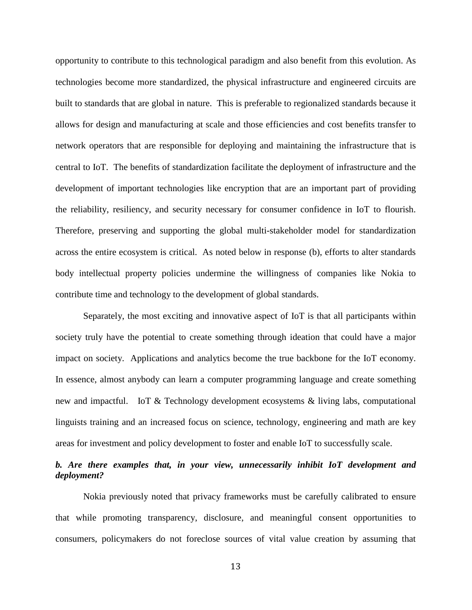opportunity to contribute to this technological paradigm and also benefit from this evolution. As technologies become more standardized, the physical infrastructure and engineered circuits are built to standards that are global in nature. This is preferable to regionalized standards because it allows for design and manufacturing at scale and those efficiencies and cost benefits transfer to network operators that are responsible for deploying and maintaining the infrastructure that is central to IoT. The benefits of standardization facilitate the deployment of infrastructure and the development of important technologies like encryption that are an important part of providing the reliability, resiliency, and security necessary for consumer confidence in IoT to flourish. Therefore, preserving and supporting the global multi-stakeholder model for standardization across the entire ecosystem is critical. As noted below in response (b), efforts to alter standards body intellectual property policies undermine the willingness of companies like Nokia to contribute time and technology to the development of global standards.

Separately, the most exciting and innovative aspect of IoT is that all participants within society truly have the potential to create something through ideation that could have a major impact on society. Applications and analytics become the true backbone for the IoT economy. In essence, almost anybody can learn a computer programming language and create something new and impactful. IoT & Technology development ecosystems & living labs, computational linguists training and an increased focus on science, technology, engineering and math are key areas for investment and policy development to foster and enable IoT to successfully scale.

## *b. Are there examples that, in your view, unnecessarily inhibit IoT development and deployment?*

Nokia previously noted that privacy frameworks must be carefully calibrated to ensure that while promoting transparency, disclosure, and meaningful consent opportunities to consumers, policymakers do not foreclose sources of vital value creation by assuming that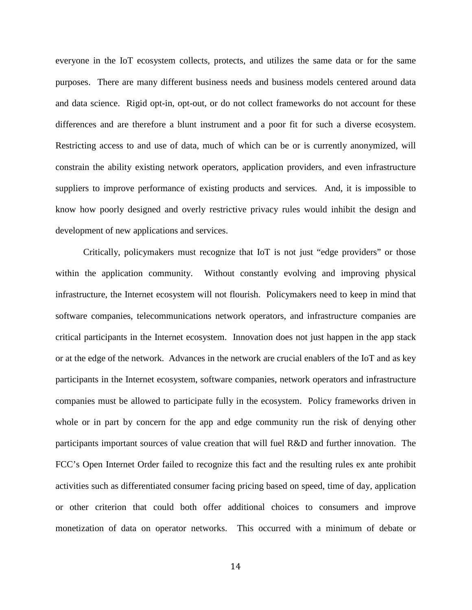everyone in the IoT ecosystem collects, protects, and utilizes the same data or for the same purposes. There are many different business needs and business models centered around data and data science. Rigid opt-in, opt-out, or do not collect frameworks do not account for these differences and are therefore a blunt instrument and a poor fit for such a diverse ecosystem. Restricting access to and use of data, much of which can be or is currently anonymized, will constrain the ability existing network operators, application providers, and even infrastructure suppliers to improve performance of existing products and services. And, it is impossible to know how poorly designed and overly restrictive privacy rules would inhibit the design and development of new applications and services.

Critically, policymakers must recognize that IoT is not just "edge providers" or those within the application community. Without constantly evolving and improving physical infrastructure, the Internet ecosystem will not flourish. Policymakers need to keep in mind that software companies, telecommunications network operators, and infrastructure companies are critical participants in the Internet ecosystem. Innovation does not just happen in the app stack or at the edge of the network. Advances in the network are crucial enablers of the IoT and as key participants in the Internet ecosystem, software companies, network operators and infrastructure companies must be allowed to participate fully in the ecosystem. Policy frameworks driven in whole or in part by concern for the app and edge community run the risk of denying other participants important sources of value creation that will fuel R&D and further innovation. The FCC's Open Internet Order failed to recognize this fact and the resulting rules ex ante prohibit activities such as differentiated consumer facing pricing based on speed, time of day, application or other criterion that could both offer additional choices to consumers and improve monetization of data on operator networks. This occurred with a minimum of debate or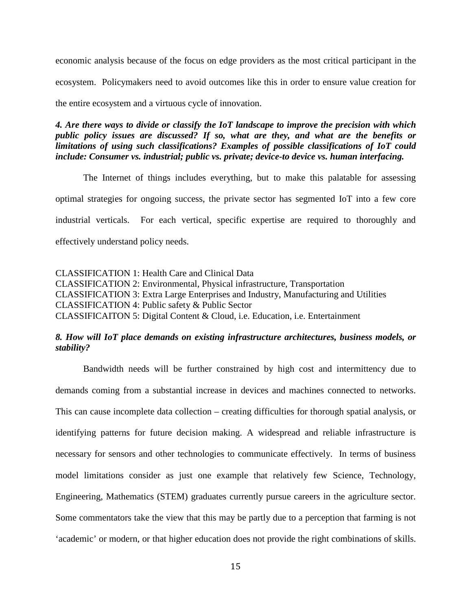economic analysis because of the focus on edge providers as the most critical participant in the ecosystem. Policymakers need to avoid outcomes like this in order to ensure value creation for the entire ecosystem and a virtuous cycle of innovation.

*4. Are there ways to divide or classify the IoT landscape to improve the precision with which public policy issues are discussed? If so, what are they, and what are the benefits or limitations of using such classifications? Examples of possible classifications of IoT could include: Consumer vs. industrial; public vs. private; device-to device vs. human interfacing.* 

The Internet of things includes everything, but to make this palatable for assessing optimal strategies for ongoing success, the private sector has segmented IoT into a few core industrial verticals. For each vertical, specific expertise are required to thoroughly and effectively understand policy needs.

CLASSIFICATION 1: Health Care and Clinical Data CLASSIFICATION 2: Environmental, Physical infrastructure, Transportation CLASSIFICATION 3: Extra Large Enterprises and Industry, Manufacturing and Utilities CLASSIFICATION 4: Public safety & Public Sector CLASSIFICAITON 5: Digital Content & Cloud, i.e. Education, i.e. Entertainment

# *8. How will IoT place demands on existing infrastructure architectures, business models, or stability?*

Bandwidth needs will be further constrained by high cost and intermittency due to demands coming from a substantial increase in devices and machines connected to networks. This can cause incomplete data collection – creating difficulties for thorough spatial analysis, or identifying patterns for future decision making. A widespread and reliable infrastructure is necessary for sensors and other technologies to communicate effectively. In terms of business model limitations consider as just one example that relatively few Science, Technology, Engineering, Mathematics (STEM) graduates currently pursue careers in the agriculture sector. Some commentators take the view that this may be partly due to a perception that farming is not 'academic' or modern, or that higher education does not provide the right combinations of skills.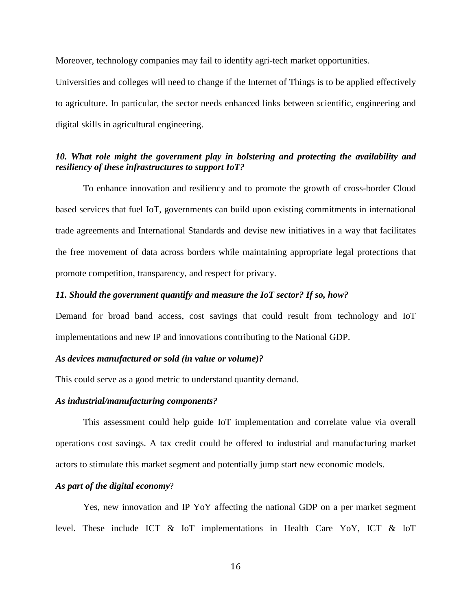Moreover, technology companies may fail to identify agri-tech market opportunities.

Universities and colleges will need to change if the Internet of Things is to be applied effectively to agriculture. In particular, the sector needs enhanced links between scientific, engineering and digital skills in agricultural engineering.

## *10. What role might the government play in bolstering and protecting the availability and resiliency of these infrastructures to support IoT?*

To enhance innovation and resiliency and to promote the growth of cross-border Cloud based services that fuel IoT, governments can build upon existing commitments in international trade agreements and International Standards and devise new initiatives in a way that facilitates the free movement of data across borders while maintaining appropriate legal protections that promote competition, transparency, and respect for privacy.

### *11. Should the government quantify and measure the IoT sector? If so, how?*

Demand for broad band access, cost savings that could result from technology and IoT implementations and new IP and innovations contributing to the National GDP.

#### *As devices manufactured or sold (in value or volume)?*

This could serve as a good metric to understand quantity demand.

## *As industrial/manufacturing components?*

This assessment could help guide IoT implementation and correlate value via overall operations cost savings. A tax credit could be offered to industrial and manufacturing market actors to stimulate this market segment and potentially jump start new economic models.

#### *As part of the digital economy*?

Yes, new innovation and IP YoY affecting the national GDP on a per market segment level. These include ICT & IoT implementations in Health Care YoY, ICT & IoT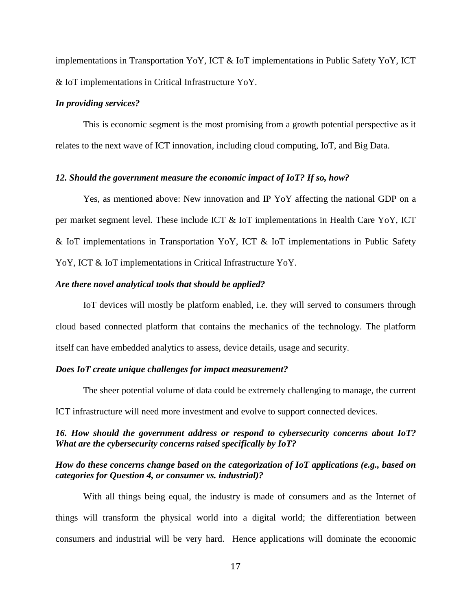implementations in Transportation YoY, ICT & IoT implementations in Public Safety YoY, ICT & IoT implementations in Critical Infrastructure YoY.

## *In providing services?*

This is economic segment is the most promising from a growth potential perspective as it relates to the next wave of ICT innovation, including cloud computing, IoT, and Big Data.

#### *12. Should the government measure the economic impact of IoT? If so, how?*

Yes, as mentioned above: New innovation and IP YoY affecting the national GDP on a per market segment level. These include ICT & IoT implementations in Health Care YoY, ICT & IoT implementations in Transportation YoY, ICT & IoT implementations in Public Safety YoY, ICT & IoT implementations in Critical Infrastructure YoY.

## *Are there novel analytical tools that should be applied?*

IoT devices will mostly be platform enabled, i.e. they will served to consumers through cloud based connected platform that contains the mechanics of the technology. The platform itself can have embedded analytics to assess, device details, usage and security.

## *Does IoT create unique challenges for impact measurement?*

The sheer potential volume of data could be extremely challenging to manage, the current ICT infrastructure will need more investment and evolve to support connected devices.

# *16. How should the government address or respond to cybersecurity concerns about IoT? What are the cybersecurity concerns raised specifically by IoT?*

## *How do these concerns change based on the categorization of IoT applications (e.g., based on categories for Question 4, or consumer vs. industrial)?*

With all things being equal, the industry is made of consumers and as the Internet of things will transform the physical world into a digital world; the differentiation between consumers and industrial will be very hard. Hence applications will dominate the economic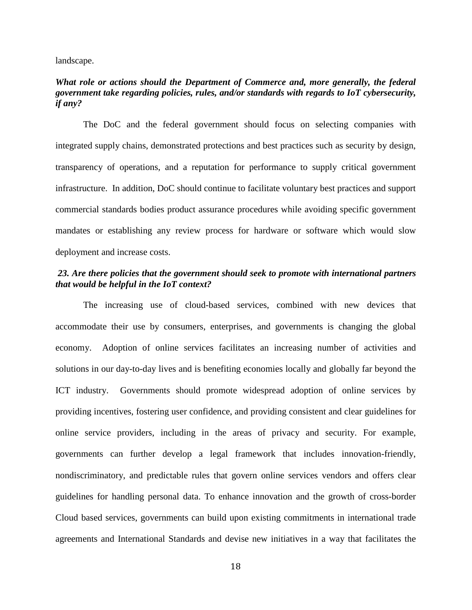landscape.

## *What role or actions should the Department of Commerce and, more generally, the federal government take regarding policies, rules, and/or standards with regards to IoT cybersecurity, if any?*

The DoC and the federal government should focus on selecting companies with integrated supply chains, demonstrated protections and best practices such as security by design, transparency of operations, and a reputation for performance to supply critical government infrastructure. In addition, DoC should continue to facilitate voluntary best practices and support commercial standards bodies product assurance procedures while avoiding specific government mandates or establishing any review process for hardware or software which would slow deployment and increase costs.

## *23. Are there policies that the government should seek to promote with international partners that would be helpful in the IoT context?*

The increasing use of cloud-based services, combined with new devices that accommodate their use by consumers, enterprises, and governments is changing the global economy. Adoption of online services facilitates an increasing number of activities and solutions in our day-to-day lives and is benefiting economies locally and globally far beyond the ICT industry. Governments should promote widespread adoption of online services by providing incentives, fostering user confidence, and providing consistent and clear guidelines for online service providers, including in the areas of privacy and security. For example, governments can further develop a legal framework that includes innovation-friendly, nondiscriminatory, and predictable rules that govern online services vendors and offers clear guidelines for handling personal data. To enhance innovation and the growth of cross-border Cloud based services, governments can build upon existing commitments in international trade agreements and International Standards and devise new initiatives in a way that facilitates the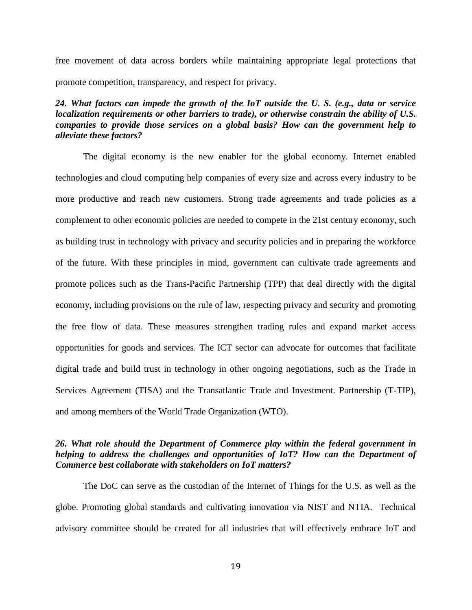free movement of data across borders while maintaining appropriate legal protections that promote competition, transparency, and respect for privacy.

# *24. What factors can impede the growth of the IoT outside the U. S. (e.g., data or service localization requirements or other barriers to trade), or otherwise constrain the ability of U.S. companies to provide those services on a global basis? How can the government help to alleviate these factors?*

The digital economy is the new enabler for the global economy. Internet enabled technologies and cloud computing help companies of every size and across every industry to be more productive and reach new customers. Strong trade agreements and trade policies as a complement to other economic policies are needed to compete in the 21st century economy, such as building trust in technology with privacy and security policies and in preparing the workforce of the future. With these principles in mind, government can cultivate trade agreements and promote polices such as the Trans-Pacific Partnership (TPP) that deal directly with the digital economy, including provisions on the rule of law, respecting privacy and security and promoting the free flow of data. These measures strengthen trading rules and expand market access opportunities for goods and services. The ICT sector can advocate for outcomes that facilitate digital trade and build trust in technology in other ongoing negotiations, such as the Trade in Services Agreement (TISA) and the Transatlantic Trade and Investment. Partnership (T-TIP), and among members of the World Trade Organization (WTO).

## *26. What role should the Department of Commerce play within the federal government in helping to address the challenges and opportunities of IoT? How can the Department of Commerce best collaborate with stakeholders on IoT matters?*

The DoC can serve as the custodian of the Internet of Things for the U.S. as well as the globe. Promoting global standards and cultivating innovation via NIST and NTIA. Technical advisory committee should be created for all industries that will effectively embrace IoT and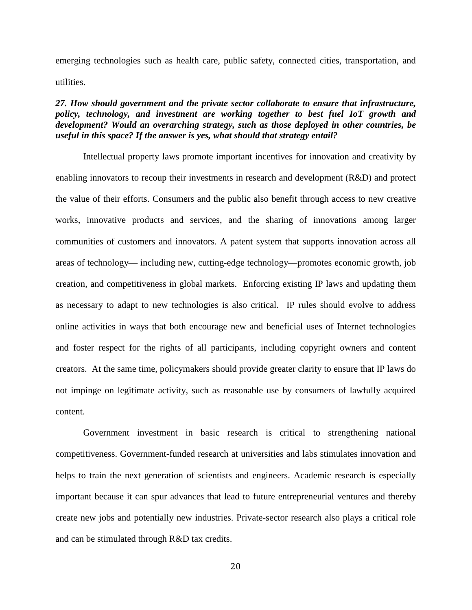emerging technologies such as health care, public safety, connected cities, transportation, and utilities.

# *27. How should government and the private sector collaborate to ensure that infrastructure, policy, technology, and investment are working together to best fuel IoT growth and development? Would an overarching strategy, such as those deployed in other countries, be useful in this space? If the answer is yes, what should that strategy entail?*

Intellectual property laws promote important incentives for innovation and creativity by enabling innovators to recoup their investments in research and development (R&D) and protect the value of their efforts. Consumers and the public also benefit through access to new creative works, innovative products and services, and the sharing of innovations among larger communities of customers and innovators. A patent system that supports innovation across all areas of technology— including new, cutting-edge technology—promotes economic growth, job creation, and competitiveness in global markets. Enforcing existing IP laws and updating them as necessary to adapt to new technologies is also critical. IP rules should evolve to address online activities in ways that both encourage new and beneficial uses of Internet technologies and foster respect for the rights of all participants, including copyright owners and content creators. At the same time, policymakers should provide greater clarity to ensure that IP laws do not impinge on legitimate activity, such as reasonable use by consumers of lawfully acquired content.

Government investment in basic research is critical to strengthening national competitiveness. Government-funded research at universities and labs stimulates innovation and helps to train the next generation of scientists and engineers. Academic research is especially important because it can spur advances that lead to future entrepreneurial ventures and thereby create new jobs and potentially new industries. Private-sector research also plays a critical role and can be stimulated through R&D tax credits.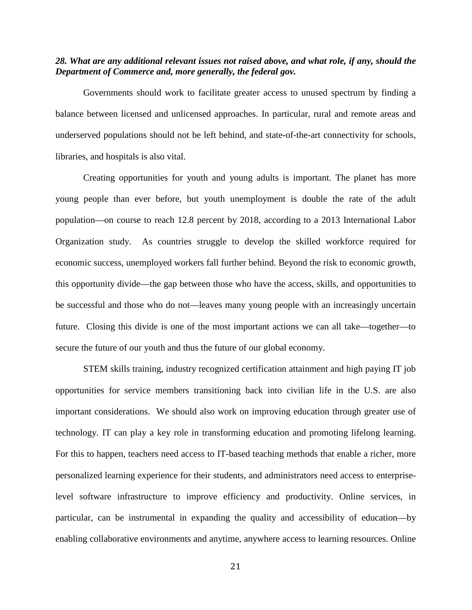## *28. What are any additional relevant issues not raised above, and what role, if any, should the Department of Commerce and, more generally, the federal gov.*

Governments should work to facilitate greater access to unused spectrum by finding a balance between licensed and unlicensed approaches. In particular, rural and remote areas and underserved populations should not be left behind, and state-of-the-art connectivity for schools, libraries, and hospitals is also vital.

Creating opportunities for youth and young adults is important. The planet has more young people than ever before, but youth unemployment is double the rate of the adult population—on course to reach 12.8 percent by 2018, according to a 2013 International Labor Organization study. As countries struggle to develop the skilled workforce required for economic success, unemployed workers fall further behind. Beyond the risk to economic growth, this opportunity divide—the gap between those who have the access, skills, and opportunities to be successful and those who do not—leaves many young people with an increasingly uncertain future. Closing this divide is one of the most important actions we can all take—together—to secure the future of our youth and thus the future of our global economy.

STEM skills training, industry recognized certification attainment and high paying IT job opportunities for service members transitioning back into civilian life in the U.S. are also important considerations. We should also work on improving education through greater use of technology. IT can play a key role in transforming education and promoting lifelong learning. For this to happen, teachers need access to IT-based teaching methods that enable a richer, more personalized learning experience for their students, and administrators need access to enterpriselevel software infrastructure to improve efficiency and productivity. Online services, in particular, can be instrumental in expanding the quality and accessibility of education––by enabling collaborative environments and anytime, anywhere access to learning resources. Online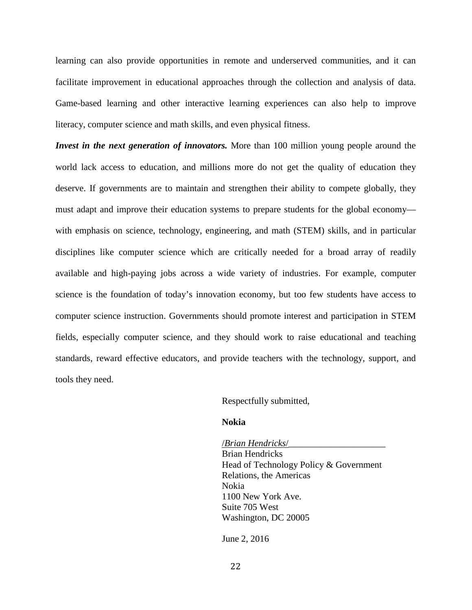learning can also provide opportunities in remote and underserved communities, and it can facilitate improvement in educational approaches through the collection and analysis of data. Game-based learning and other interactive learning experiences can also help to improve literacy, computer science and math skills, and even physical fitness.

*Invest in the next generation of innovators.* More than 100 million young people around the world lack access to education, and millions more do not get the quality of education they deserve. If governments are to maintain and strengthen their ability to compete globally, they must adapt and improve their education systems to prepare students for the global economy with emphasis on science, technology, engineering, and math (STEM) skills, and in particular disciplines like computer science which are critically needed for a broad array of readily available and high-paying jobs across a wide variety of industries. For example, computer science is the foundation of today's innovation economy, but too few students have access to computer science instruction. Governments should promote interest and participation in STEM fields, especially computer science, and they should work to raise educational and teaching standards, reward effective educators, and provide teachers with the technology, support, and tools they need.

Respectfully submitted,

#### **Nokia**

 /*Brian Hendricks*/\_\_\_\_\_\_\_\_\_\_\_\_\_\_\_\_\_\_\_\_\_ Brian Hendricks Head of Technology Policy & Government Relations, the Americas Nokia 1100 New York Ave. Suite 705 West Washington, DC 20005

June 2, 2016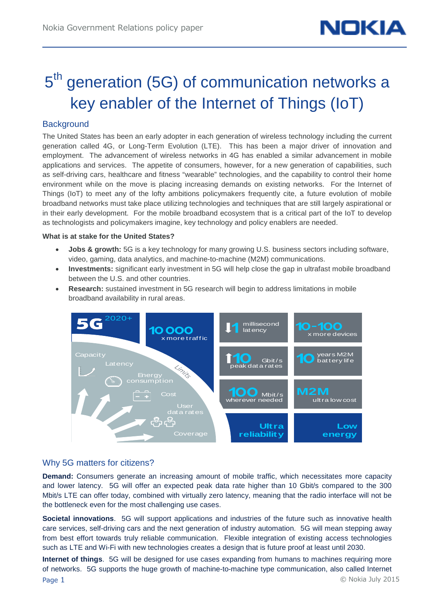# 5<sup>th</sup> generation (5G) of communication networks a key enabler of the Internet of Things (IoT)

# **Background**

The United States has been an early adopter in each generation of wireless technology including the current generation called 4G, or Long-Term Evolution (LTE). This has been a major driver of innovation and employment. The advancement of wireless networks in 4G has enabled a similar advancement in mobile applications and services. The appetite of consumers, however, for a new generation of capabilities, such as self-driving cars, healthcare and fitness "wearable" technologies, and the capability to control their home environment while on the move is placing increasing demands on existing networks. For the Internet of Things (IoT) to meet any of the lofty ambitions policymakers frequently cite, a future evolution of mobile broadband networks must take place utilizing technologies and techniques that are still largely aspirational or in their early development. For the mobile broadband ecosystem that is a critical part of the IoT to develop as technologists and policymakers imagine, key technology and policy enablers are needed.

#### **What is at stake for the United States?**

- **Jobs & growth:** 5G is a key technology for many growing U.S. business sectors including software, video, gaming, data analytics, and machine-to-machine (M2M) communications.
- **Investments:** significant early investment in 5G will help close the gap in ultrafast mobile broadband between the U.S. and other countries.
- **Research:** sustained investment in 5G research will begin to address limitations in mobile broadband availability in rural areas.



## Why 5G matters for citizens?

**Demand:** Consumers generate an increasing amount of mobile traffic, which necessitates more capacity and lower latency. 5G will offer an expected peak data rate higher than 10 Gbit/s compared to the 300 Mbit/s LTE can offer today, combined with virtually zero latency, meaning that the radio interface will not be the bottleneck even for the most challenging use cases.

**Societal innovations**. 5G will support applications and industries of the future such as innovative health care services, self-driving cars and the next generation of industry automation. 5G will mean stepping away from best effort towards truly reliable communication. Flexible integration of existing access technologies such as LTE and Wi-Fi with new technologies creates a design that is future proof at least until 2030.

**Internet of things**. 5G will be designed for use cases expanding from humans to machines requiring more of networks. 5G supports the huge growth of machine-to-machine type communication, also called Internet